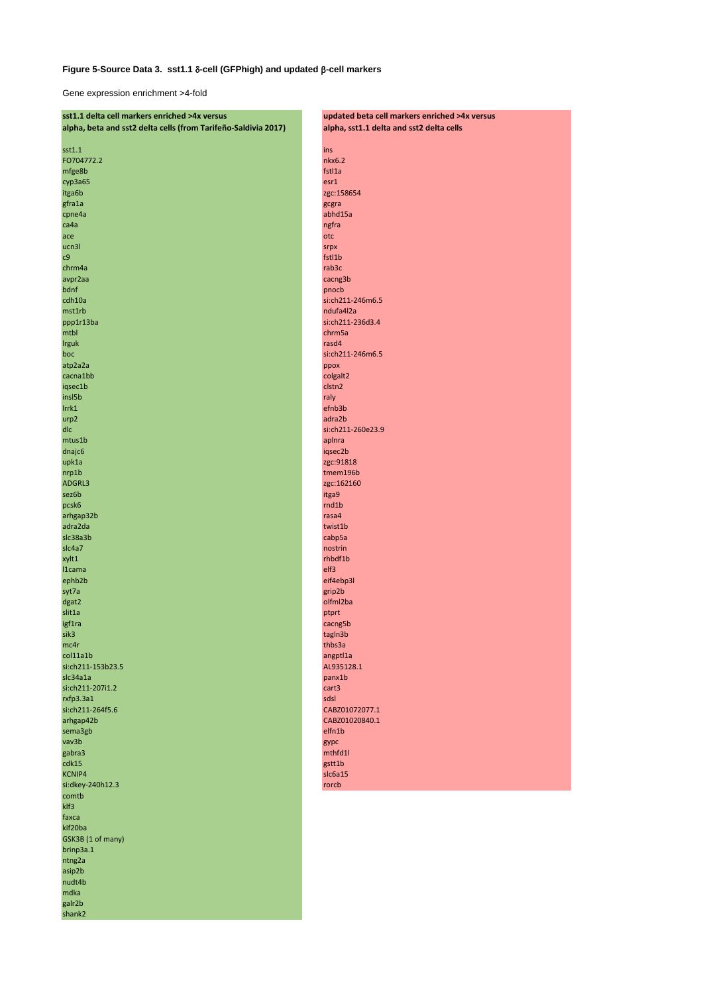## Figure 5-Source Data 3. sst1.1 8-cell (GFPhigh) and updated  $\beta$ -cell markers

Gene expression enrichment >4-fold

| sst1.1 delta cell markers enriched >4x versus                  | updated beta cell markers enriched >4x versus |  |
|----------------------------------------------------------------|-----------------------------------------------|--|
| alpha, beta and sst2 delta cells (from Tarifeño-Saldivia 2017) | alpha, sst1.1 delta and sst2 delta cells      |  |
|                                                                |                                               |  |
| sst1.1                                                         | ins                                           |  |
| FO704772.2                                                     | nkx6.2                                        |  |
|                                                                |                                               |  |
| mfge8b                                                         | fstl1a                                        |  |
| сурЗа65                                                        | est1                                          |  |
| itga6b                                                         | zgc:158654                                    |  |
| gfra1a                                                         | gcgra                                         |  |
| cpne4a                                                         | abhd15a                                       |  |
|                                                                |                                               |  |
| ca4a                                                           | ngfra                                         |  |
| ace                                                            | otc                                           |  |
| ucn3l                                                          | srpx                                          |  |
| c9                                                             | fstl1b                                        |  |
| chrm4a                                                         | rab3c                                         |  |
|                                                                |                                               |  |
| avpr2aa                                                        | cacng3b                                       |  |
| bdnf                                                           | pnocb                                         |  |
| cdh10a                                                         | si:ch211-246m6.5                              |  |
| mst1rb                                                         | ndufa4l2a                                     |  |
| ppp1r13ba                                                      | si:ch211-236d3.4                              |  |
|                                                                | chrm5a                                        |  |
| mtbl                                                           |                                               |  |
| <b>Irguk</b>                                                   | rasd4                                         |  |
| boc                                                            | si:ch211-246m6.5                              |  |
| atp2a2a                                                        | ppox                                          |  |
| cacna1bb                                                       | colgalt2                                      |  |
|                                                                | clstn2                                        |  |
| iqsec1b                                                        |                                               |  |
| insl5b                                                         | raly                                          |  |
| Irrk1                                                          | efnb3b                                        |  |
| urp2                                                           | adra2b                                        |  |
| dlc                                                            | si:ch211-260e23.9                             |  |
| mtus1b                                                         |                                               |  |
|                                                                | aplnra                                        |  |
| dnajc6                                                         | iqsec2b                                       |  |
| upk1a                                                          | zgc:91818                                     |  |
| nrp1b                                                          | tmem196b                                      |  |
| ADGRL3                                                         | zgc:162160                                    |  |
| sez6b                                                          | itga9                                         |  |
|                                                                |                                               |  |
| pcsk6                                                          | rnd1b                                         |  |
| arhgap32b                                                      | rasa4                                         |  |
| adra2da                                                        | twist1b                                       |  |
| slc38a3b                                                       | cabp5a                                        |  |
| slc4a7                                                         | nostrin                                       |  |
|                                                                |                                               |  |
| xylt1                                                          | rhbdf1b                                       |  |
| I1cama                                                         | elf3                                          |  |
| ephb2b                                                         | eif4ebp3l                                     |  |
| syt7a                                                          | grip2b                                        |  |
| dgat2                                                          | olfml2ba                                      |  |
| slit1a                                                         | ptprt                                         |  |
|                                                                |                                               |  |
| igf1ra                                                         | cacng5b                                       |  |
| sik3                                                           | tagIn3b                                       |  |
| mc4r                                                           | thbs3a                                        |  |
| col11a1b                                                       | angptl1a                                      |  |
| si:ch211-153b23.5                                              | AL935128.1                                    |  |
| slc34a1a                                                       | panx1b                                        |  |
|                                                                |                                               |  |
| si:ch211-207i1.2                                               | cart3                                         |  |
| rxfp3.3a1                                                      | sdsl                                          |  |
| si:ch211-264f5.6                                               | CABZ01072077.1                                |  |
| arhgap42b                                                      | CABZ01020840.1                                |  |
| sema3gb                                                        | elfn1b                                        |  |
| vav3b                                                          |                                               |  |
|                                                                | gypc                                          |  |
| gabra3                                                         | mthfd1l                                       |  |
| cdk15                                                          | gstt1b                                        |  |
| <b>KCNIP4</b>                                                  | slc6a15                                       |  |
| si:dkey-240h12.3                                               | rorcb                                         |  |
| comtb                                                          |                                               |  |
|                                                                |                                               |  |
| klf3                                                           |                                               |  |
| faxca                                                          |                                               |  |
| kif20ba                                                        |                                               |  |
| GSK3B (1 of many)                                              |                                               |  |
| brinp3a.1                                                      |                                               |  |
|                                                                |                                               |  |
| ntng2a                                                         |                                               |  |
| asip2b                                                         |                                               |  |
| nudt4b                                                         |                                               |  |
| mdka                                                           |                                               |  |
| galr2b                                                         |                                               |  |
|                                                                |                                               |  |
| shank2                                                         |                                               |  |